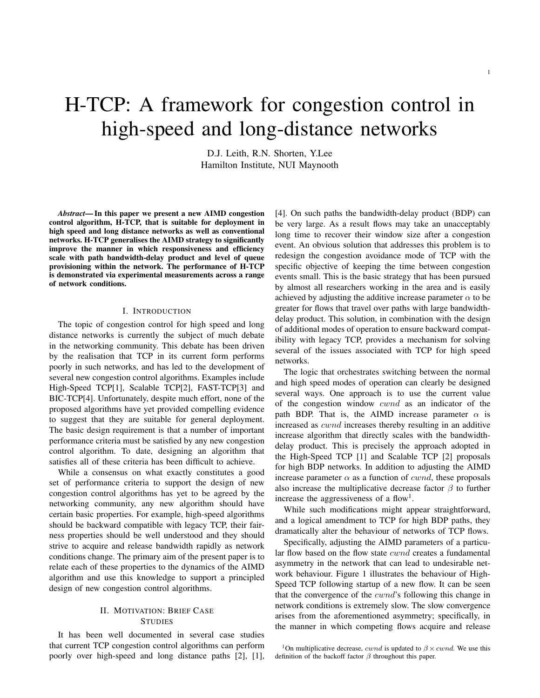# H-TCP: A framework for congestion control in high-speed and long-distance networks

D.J. Leith, R.N. Shorten, Y.Lee Hamilton Institute, NUI Maynooth

*Abstract*— In this paper we present a new AIMD congestion control algorithm, H-TCP, that is suitable for deployment in high speed and long distance networks as well as conventional networks. H-TCP generalises the AIMD strategy to significantly improve the manner in which responsiveness and efficiency scale with path bandwidth-delay product and level of queue provisioning within the network. The performance of H-TCP is demonstrated via experimental measurements across a range of network conditions.

#### I. INTRODUCTION

The topic of congestion control for high speed and long distance networks is currently the subject of much debate in the networking community. This debate has been driven by the realisation that TCP in its current form performs poorly in such networks, and has led to the development of several new congestion control algorithms. Examples include High-Speed TCP[1], Scalable TCP[2], FAST-TCP[3] and BIC-TCP[4]. Unfortunately, despite much effort, none of the proposed algorithms have yet provided compelling evidence to suggest that they are suitable for general deployment. The basic design requirement is that a number of important performance criteria must be satisfied by any new congestion control algorithm. To date, designing an algorithm that satisfies all of these criteria has been difficult to achieve.

While a consensus on what exactly constitutes a good set of performance criteria to support the design of new congestion control algorithms has yet to be agreed by the networking community, any new algorithm should have certain basic properties. For example, high-speed algorithms should be backward compatible with legacy TCP, their fairness properties should be well understood and they should strive to acquire and release bandwidth rapidly as network conditions change. The primary aim of the present paper is to relate each of these properties to the dynamics of the AIMD algorithm and use this knowledge to support a principled design of new congestion control algorithms.

# II. MOTIVATION: BRIEF CASE **STUDIES**

It has been well documented in several case studies that current TCP congestion control algorithms can perform poorly over high-speed and long distance paths [2], [1], [4]. On such paths the bandwidth-delay product (BDP) can be very large. As a result flows may take an unacceptably long time to recover their window size after a congestion event. An obvious solution that addresses this problem is to redesign the congestion avoidance mode of TCP with the specific objective of keeping the time between congestion events small. This is the basic strategy that has been pursued by almost all researchers working in the area and is easily achieved by adjusting the additive increase parameter  $\alpha$  to be greater for flows that travel over paths with large bandwidthdelay product. This solution, in combination with the design of additional modes of operation to ensure backward compatibility with legacy TCP, provides a mechanism for solving several of the issues associated with TCP for high speed networks.

The logic that orchestrates switching between the normal and high speed modes of operation can clearly be designed several ways. One approach is to use the current value of the congestion window cwnd as an indicator of the path BDP. That is, the AIMD increase parameter  $\alpha$  is increased as cwnd increases thereby resulting in an additive increase algorithm that directly scales with the bandwidthdelay product. This is precisely the approach adopted in the High-Speed TCP [1] and Scalable TCP [2] proposals for high BDP networks. In addition to adjusting the AIMD increase parameter  $\alpha$  as a function of *cwnd*, these proposals also increase the multiplicative decrease factor  $\beta$  to further increase the aggressiveness of a flow<sup>1</sup>.

While such modifications might appear straightforward, and a logical amendment to TCP for high BDP paths, they dramatically alter the behaviour of networks of TCP flows.

Specifically, adjusting the AIMD parameters of a particular flow based on the flow state cwnd creates a fundamental asymmetry in the network that can lead to undesirable network behaviour. Figure 1 illustrates the behaviour of High-Speed TCP following startup of a new flow. It can be seen that the convergence of the cwnd's following this change in network conditions is extremely slow. The slow convergence arises from the aforementioned asymmetry; specifically, in the manner in which competing flows acquire and release

<sup>&</sup>lt;sup>1</sup>On multiplicative decrease, *cwnd* is updated to  $\beta \times \text{cwnd}$ . We use this definition of the backoff factor  $\beta$  throughout this paper.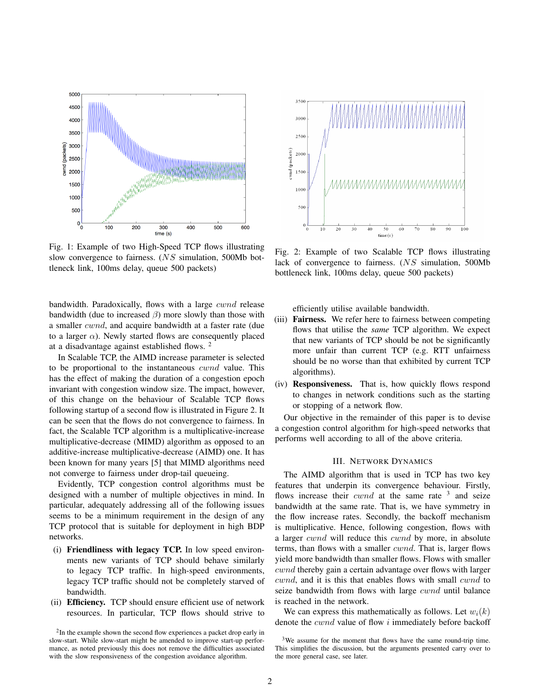

Fig. 1: Example of two High-Speed TCP flows illustrating slow convergence to fairness. (NS simulation, 500Mb bottleneck link, 100ms delay, queue 500 packets)

bandwidth. Paradoxically, flows with a large cwnd release bandwidth (due to increased  $\beta$ ) more slowly than those with a smaller cwnd, and acquire bandwidth at a faster rate (due to a larger  $\alpha$ ). Newly started flows are consequently placed at a disadvantage against established flows. <sup>2</sup>

In Scalable TCP, the AIMD increase parameter is selected to be proportional to the instantaneous cwnd value. This has the effect of making the duration of a congestion epoch invariant with congestion window size. The impact, however, of this change on the behaviour of Scalable TCP flows following startup of a second flow is illustrated in Figure 2. It can be seen that the flows do not convergence to fairness. In fact, the Scalable TCP algorithm is a multiplicative-increase multiplicative-decrease (MIMD) algorithm as opposed to an additive-increase multiplicative-decrease (AIMD) one. It has been known for many years [5] that MIMD algorithms need not converge to fairness under drop-tail queueing.

Evidently, TCP congestion control algorithms must be designed with a number of multiple objectives in mind. In particular, adequately addressing all of the following issues seems to be a minimum requirement in the design of any TCP protocol that is suitable for deployment in high BDP networks.

- (i) Friendliness with legacy TCP. In low speed environments new variants of TCP should behave similarly to legacy TCP traffic. In high-speed environments, legacy TCP traffic should not be completely starved of bandwidth.
- (ii) Efficiency. TCP should ensure efficient use of network resources. In particular, TCP flows should strive to



Fig. 2: Example of two Scalable TCP flows illustrating lack of convergence to fairness. (NS simulation, 500Mb bottleneck link, 100ms delay, queue 500 packets)

efficiently utilise available bandwidth.

- (iii) **Fairness.** We refer here to fairness between competing flows that utilise the *same* TCP algorithm. We expect that new variants of TCP should be not be significantly more unfair than current TCP (e.g. RTT unfairness should be no worse than that exhibited by current TCP algorithms).
- (iv) Responsiveness. That is, how quickly flows respond to changes in network conditions such as the starting or stopping of a network flow.

Our objective in the remainder of this paper is to devise a congestion control algorithm for high-speed networks that performs well according to all of the above criteria.

# III. NETWORK DYNAMICS

The AIMD algorithm that is used in TCP has two key features that underpin its convergence behaviour. Firstly, flows increase their  $cwnd$  at the same rate  $3$  and seize bandwidth at the same rate. That is, we have symmetry in the flow increase rates. Secondly, the backoff mechanism is multiplicative. Hence, following congestion, flows with a larger cwnd will reduce this cwnd by more, in absolute terms, than flows with a smaller cwnd. That is, larger flows yield more bandwidth than smaller flows. Flows with smaller cwnd thereby gain a certain advantage over flows with larger cwnd, and it is this that enables flows with small cwnd to seize bandwidth from flows with large cwnd until balance is reached in the network.

We can express this mathematically as follows. Let  $w_i(k)$ denote the cwnd value of flow i immediately before backoff

<sup>&</sup>lt;sup>2</sup>In the example shown the second flow experiences a packet drop early in slow-start. While slow-start might be amended to improve start-up performance, as noted previously this does not remove the difficulties associated with the slow responsiveness of the congestion avoidance algorithm.

<sup>&</sup>lt;sup>3</sup>We assume for the moment that flows have the same round-trip time. This simplifies the discussion, but the arguments presented carry over to the more general case, see later.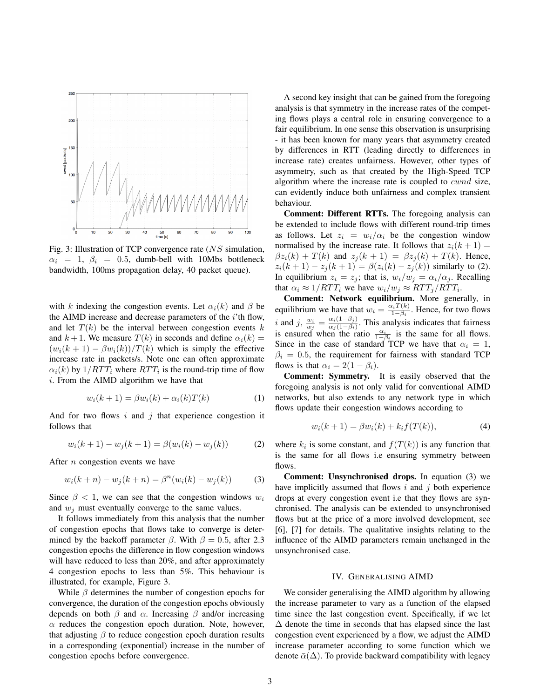

Fig. 3: Illustration of TCP convergence rate (NS simulation,  $\alpha_i = 1, \beta_i = 0.5,$  dumb-bell with 10Mbs bottleneck bandwidth, 100ms propagation delay, 40 packet queue).

with k indexing the congestion events. Let  $\alpha_i(k)$  and  $\beta$  be the AIMD increase and decrease parameters of the *i*'th flow, and let  $T(k)$  be the interval between congestion events k and  $k+1$ . We measure  $T(k)$  in seconds and define  $\alpha_i(k) =$  $(w_i(k + 1) - \beta w_i(k))/T(k)$  which is simply the effective increase rate in packets/s. Note one can often approximate  $\alpha_i(k)$  by  $1/RTT_i$  where  $RTT_i$  is the round-trip time of flow i. From the AIMD algorithm we have that

$$
w_i(k+1) = \beta w_i(k) + \alpha_i(k)T(k)
$$
\n(1)

And for two flows  $i$  and  $j$  that experience congestion it follows that

$$
w_i(k+1) - w_j(k+1) = \beta(w_i(k) - w_j(k))
$$
 (2)

After n congestion events we have

$$
w_i(k+n) - w_j(k+n) = \beta^n(w_i(k) - w_j(k))
$$
 (3)

Since  $\beta$  < 1, we can see that the congestion windows  $w_i$ and  $w_i$  must eventually converge to the same values.

It follows immediately from this analysis that the number of congestion epochs that flows take to converge is determined by the backoff parameter  $\beta$ . With  $\beta = 0.5$ , after 2.3 congestion epochs the difference in flow congestion windows will have reduced to less than 20%, and after approximately 4 congestion epochs to less than 5%. This behaviour is illustrated, for example, Figure 3.

While  $\beta$  determines the number of congestion epochs for convergence, the duration of the congestion epochs obviously depends on both  $\beta$  and  $\alpha$ . Increasing  $\beta$  and/or increasing  $\alpha$  reduces the congestion epoch duration. Note, however, that adjusting  $\beta$  to reduce congestion epoch duration results in a corresponding (exponential) increase in the number of congestion epochs before convergence.

A second key insight that can be gained from the foregoing analysis is that symmetry in the increase rates of the competing flows plays a central role in ensuring convergence to a fair equilibrium. In one sense this observation is unsurprising - it has been known for many years that asymmetry created by differences in RTT (leading directly to differences in increase rate) creates unfairness. However, other types of asymmetry, such as that created by the High-Speed TCP algorithm where the increase rate is coupled to *cwnd* size, can evidently induce both unfairness and complex transient behaviour.

Comment: Different RTTs. The foregoing analysis can be extended to include flows with different round-trip times as follows. Let  $z_i = w_i/\alpha_i$  be the congestion window normalised by the increase rate. It follows that  $z_i(k + 1) =$  $\beta z_i(k) + T(k)$  and  $z_j(k+1) = \beta z_j(k) + T(k)$ . Hence,  $z_i(k+1) - z_j(k+1) = \beta(z_i(k) - z_j(k))$  similarly to (2). In equilibrium  $z_i = z_j$ ; that is,  $w_i/w_j = \alpha_i/\alpha_j$ . Recalling that  $\alpha_i \approx 1/RTT_i$  we have  $w_i/w_j \approx RTT_j/RTT_i$ .

Comment: Network equilibrium. More generally, in equilibrium we have that  $w_i = \frac{\alpha_i T(k)}{1 - \beta_i}$ . Hence, for two flows  $1-\beta_i$ *i* and *j*,  $\frac{w_i}{w_j} = \frac{\alpha_i(1-\beta_j)}{\alpha_j(1-\beta_i)}$  $\frac{\alpha_i(1-\beta_j)}{\alpha_j(1-\beta_i)}$ . This analysis indicates that fairness is ensured when the ratio  $\frac{\alpha_i}{1-\beta_i}$  is the same for all flows. Since in the case of standard TCP we have that  $\alpha_i = 1$ ,  $\beta_i = 0.5$ , the requirement for fairness with standard TCP flows is that  $\alpha_i = 2(1 - \beta_i)$ .

Comment: Symmetry. It is easily observed that the foregoing analysis is not only valid for conventional AIMD networks, but also extends to any network type in which flows update their congestion windows according to

$$
w_i(k+1) = \beta w_i(k) + k_i f(T(k)),
$$
\n(4)

where  $k_i$  is some constant, and  $f(T(k))$  is any function that is the same for all flows i.e ensuring symmetry between flows.

Comment: Unsynchronised drops. In equation (3) we have implicitly assumed that flows  $i$  and  $j$  both experience drops at every congestion event i.e that they flows are synchronised. The analysis can be extended to unsynchronised flows but at the price of a more involved development, see [6], [7] for details. The qualitative insights relating to the influence of the AIMD parameters remain unchanged in the unsynchronised case.

#### IV. GENERALISING AIMD

We consider generalising the AIMD algorithm by allowing the increase parameter to vary as a function of the elapsed time since the last congestion event. Specifically, if we let  $\Delta$  denote the time in seconds that has elapsed since the last congestion event experienced by a flow, we adjust the AIMD increase parameter according to some function which we denote  $\bar{\alpha}(\Delta)$ . To provide backward compatibility with legacy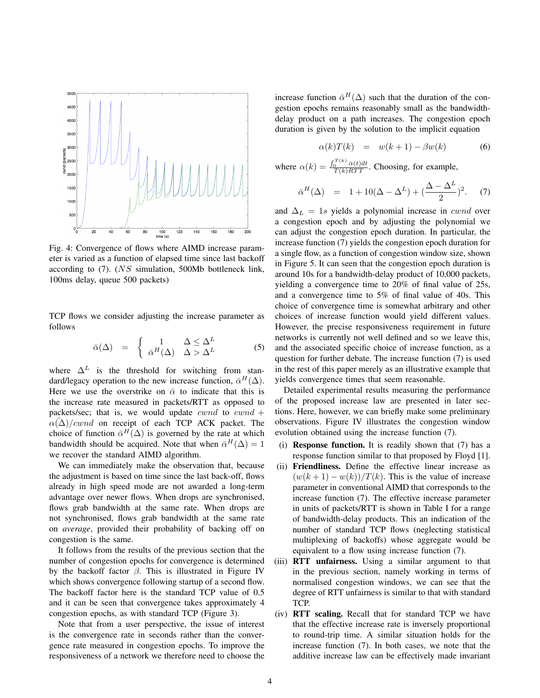

Fig. 4: Convergence of flows where AIMD increase parameter is varied as a function of elapsed time since last backoff according to (7). (NS simulation, 500Mb bottleneck link, 100ms delay, queue 500 packets)

TCP flows we consider adjusting the increase parameter as follows

$$
\bar{\alpha}(\Delta) = \begin{cases} 1 & \Delta \leq \Delta^L \\ \bar{\alpha}^H(\Delta) & \Delta > \Delta^L \end{cases}
$$
 (5)

where  $\Delta^L$  is the threshold for switching from standard/legacy operation to the new increase function,  $\bar{\alpha}^H(\Delta)$ . Here we use the overstrike on  $\bar{\alpha}$  to indicate that this is the increase rate measured in packets/RTT as opposed to packets/sec; that is, we would update cwnd to cwnd +  $\alpha(\Delta)/cwnd$  on receipt of each TCP ACK packet. The choice of function  $\bar{\alpha}^H(\Delta)$  is governed by the rate at which bandwidth should be acquired. Note that when  $\bar{\alpha}^H(\Delta) = 1$ we recover the standard AIMD algorithm.

We can immediately make the observation that, because the adjustment is based on time since the last back-off, flows already in high speed mode are not awarded a long-term advantage over newer flows. When drops are synchronised, flows grab bandwidth at the same rate. When drops are not synchronised, flows grab bandwidth at the same rate on *average*, provided their probability of backing off on congestion is the same.

It follows from the results of the previous section that the number of congestion epochs for convergence is determined by the backoff factor  $\beta$ . This is illustrated in Figure IV which shows convergence following startup of a second flow. The backoff factor here is the standard TCP value of 0.5 and it can be seen that convergence takes approximately 4 congestion epochs, as with standard TCP (Figure 3).

Note that from a user perspective, the issue of interest is the convergence rate in seconds rather than the convergence rate measured in congestion epochs. To improve the responsiveness of a network we therefore need to choose the

increase function  $\bar{\alpha}^H(\Delta)$  such that the duration of the congestion epochs remains reasonably small as the bandwidthdelay product on a path increases. The congestion epoch duration is given by the solution to the implicit equation

$$
\alpha(k)T(k) = w(k+1) - \beta w(k) \tag{6}
$$

where  $\alpha(k) = \frac{\int_0^{T(k)} \bar{\alpha}(t) dt}{T(k)RTT}$ . Choosing, for example,

$$
\bar{\alpha}^{H}(\Delta) = 1 + 10(\Delta - \Delta^{L}) + (\frac{\Delta - \Delta^{L}}{2})^{2}.
$$
 (7)

and  $\Delta_L = 1$ s yields a polynomial increase in *cwnd* over a congestion epoch and by adjusting the polynomial we can adjust the congestion epoch duration. In particular, the increase function (7) yields the congestion epoch duration for a single flow, as a function of congestion window size, shown in Figure 5. It can seen that the congestion epoch duration is around 10s for a bandwidth-delay product of 10,000 packets, yielding a convergence time to 20% of final value of 25s, and a convergence time to 5% of final value of 40s. This choice of convergence time is somewhat arbitrary and other choices of increase function would yield different values. However, the precise responsiveness requirement in future networks is currently not well defined and so we leave this, and the associated specific choice of increase function, as a question for further debate. The increase function (7) is used in the rest of this paper merely as an illustrative example that yields convergence times that seem reasonable.

Detailed experimental results measuring the performance of the proposed increase law are presented in later sections. Here, however, we can briefly make some preliminary observations. Figure IV illustrates the congestion window evolution obtained using the increase function (7).

- (i) Response function. It is readily shown that (7) has a response function similar to that proposed by Floyd [1].
- (ii) Friendliness. Define the effective linear increase as  $(w(k+1)-w(k))/T(k)$ . This is the value of increase parameter in conventional AIMD that corresponds to the increase function (7). The effective increase parameter in units of packets/RTT is shown in Table I for a range of bandwidth-delay products. This an indication of the number of standard TCP flows (neglecting statistical multiplexing of backoffs) whose aggregate would be equivalent to a flow using increase function (7).
- (iii) RTT unfairness. Using a similar argument to that in the previous section, namely working in terms of normalised congestion windows, we can see that the degree of RTT unfairness is similar to that with standard TCP.
- (iv) RTT scaling. Recall that for standard TCP we have that the effective increase rate is inversely proportional to round-trip time. A similar situation holds for the increase function (7). In both cases, we note that the additive increase law can be effectively made invariant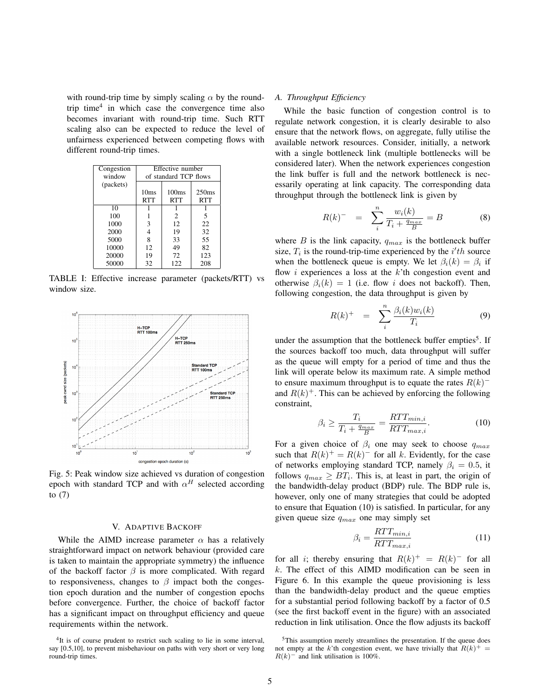with round-trip time by simply scaling  $\alpha$  by the roundtrip time<sup>4</sup> in which case the convergence time also becomes invariant with round-trip time. Such RTT scaling also can be expected to reduce the level of unfairness experienced between competing flows with different round-trip times.

| Congestion | Effective number      |                   |            |
|------------|-----------------------|-------------------|------------|
| window     | of standard TCP flows |                   |            |
| (packets)  |                       |                   |            |
|            | 10ms                  | 100 <sub>ms</sub> | 250ms      |
|            | <b>RTT</b>            | <b>RTT</b>        | <b>RTT</b> |
| 10         |                       |                   |            |
| 100        |                       | 2                 | 5          |
| 1000       | 3                     | 12                | 22         |
| 2000       | 4                     | 19                | 32         |
| 5000       | 8                     | 33                | 55         |
| 10000      | 12                    | 49                | 82         |
| 20000      | 19                    | 72                | 123        |
| 50000      | 32                    | 122               | 208        |

TABLE I: Effective increase parameter (packets/RTT) vs window size.



Fig. 5: Peak window size achieved vs duration of congestion epoch with standard TCP and with  $\alpha^H$  selected according to (7)

## V. ADAPTIVE BACKOFF

While the AIMD increase parameter  $\alpha$  has a relatively straightforward impact on network behaviour (provided care is taken to maintain the appropriate symmetry) the influence of the backoff factor  $\beta$  is more complicated. With regard to responsiveness, changes to  $\beta$  impact both the congestion epoch duration and the number of congestion epochs before convergence. Further, the choice of backoff factor has a significant impact on throughput efficiency and queue requirements within the network.

#### <sup>4</sup>It is of course prudent to restrict such scaling to lie in some interval, say [0.5,10], to prevent misbehaviour on paths with very short or very long round-trip times.

# *A. Throughput Efficiency*

While the basic function of congestion control is to regulate network congestion, it is clearly desirable to also ensure that the network flows, on aggregate, fully utilise the available network resources. Consider, initially, a network with a single bottleneck link (multiple bottlenecks will be considered later). When the network experiences congestion the link buffer is full and the network bottleneck is necessarily operating at link capacity. The corresponding data throughput through the bottleneck link is given by

$$
R(k)^{-} = \sum_{i}^{n} \frac{w_i(k)}{T_i + \frac{q_{max}}{B}} = B
$$
 (8)

where  $B$  is the link capacity,  $q_{max}$  is the bottleneck buffer size,  $T_i$  is the round-trip-time experienced by the  $i'th$  source when the bottleneck queue is empty. We let  $\beta_i(k) = \beta_i$  if flow  $i$  experiences a loss at the  $k$ <sup>th</sup> congestion event and otherwise  $\beta_i(k) = 1$  (i.e. flow i does not backoff). Then, following congestion, the data throughput is given by

$$
R(k)^{+} = \sum_{i}^{n} \frac{\beta_i(k)w_i(k)}{T_i}
$$
 (9)

under the assumption that the bottleneck buffer empties<sup>5</sup>. If the sources backoff too much, data throughput will suffer as the queue will empty for a period of time and thus the link will operate below its maximum rate. A simple method to ensure maximum throughput is to equate the rates  $R(k)$ <sup>-</sup> and  $R(k)^+$ . This can be achieved by enforcing the following constraint,

$$
\beta_i \ge \frac{T_i}{T_i + \frac{q_{max}}{B}} = \frac{RTT_{min,i}}{RTT_{max,i}}.\tag{10}
$$

For a given choice of  $\beta_i$  one may seek to choose  $q_{max}$ such that  $R(k)^{+} = R(k)^{-}$  for all k. Evidently, for the case of networks employing standard TCP, namely  $\beta_i = 0.5$ , it follows  $q_{max} \geq BT_i$ . This is, at least in part, the origin of the bandwidth-delay product (BDP) rule. The BDP rule is, however, only one of many strategies that could be adopted to ensure that Equation (10) is satisfied. In particular, for any given queue size  $q_{max}$  one may simply set

$$
\beta_i = \frac{RTT_{min,i}}{RTT_{max,i}}\tag{11}
$$

for all i; thereby ensuring that  $R(k)^{+} = R(k)^{-}$  for all  $k$ . The effect of this AIMD modification can be seen in Figure 6. In this example the queue provisioning is less than the bandwidth-delay product and the queue empties for a substantial period following backoff by a factor of 0.5 (see the first backoff event in the figure) with an associated reduction in link utilisation. Once the flow adjusts its backoff

<sup>&</sup>lt;sup>5</sup>This assumption merely streamlines the presentation. If the queue does not empty at the k'th congestion event, we have trivially that  $R(k)^{+} =$  $R(k)$ <sup>-</sup> and link utilisation is 100%.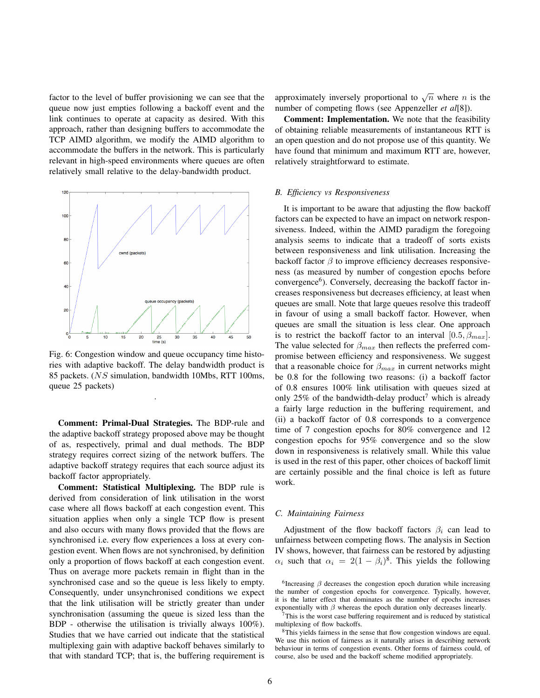factor to the level of buffer provisioning we can see that the queue now just empties following a backoff event and the link continues to operate at capacity as desired. With this approach, rather than designing buffers to accommodate the TCP AIMD algorithm, we modify the AIMD algorithm to accommodate the buffers in the network. This is particularly relevant in high-speed environments where queues are often relatively small relative to the delay-bandwidth product.



Fig. 6: Congestion window and queue occupancy time histories with adaptive backoff. The delay bandwidth product is 85 packets. (NS simulation, bandwidth 10Mbs, RTT 100ms, queue 25 packets)

.

Comment: Primal-Dual Strategies. The BDP-rule and the adaptive backoff strategy proposed above may be thought of as, respectively, primal and dual methods. The BDP strategy requires correct sizing of the network buffers. The adaptive backoff strategy requires that each source adjust its backoff factor appropriately.

Comment: Statistical Multiplexing. The BDP rule is derived from consideration of link utilisation in the worst case where all flows backoff at each congestion event. This situation applies when only a single TCP flow is present and also occurs with many flows provided that the flows are synchronised i.e. every flow experiences a loss at every congestion event. When flows are not synchronised, by definition only a proportion of flows backoff at each congestion event. Thus on average more packets remain in flight than in the synchronised case and so the queue is less likely to empty. Consequently, under unsynchronised conditions we expect that the link utilisation will be strictly greater than under synchronisation (assuming the queue is sized less than the BDP - otherwise the utilisation is trivially always 100%). Studies that we have carried out indicate that the statistical multiplexing gain with adaptive backoff behaves similarly to that with standard TCP; that is, the buffering requirement is

approximately inversely proportional to  $\sqrt{n}$  where *n* is the number of competing flows (see Appenzeller *et al*[8]).

Comment: Implementation. We note that the feasibility of obtaining reliable measurements of instantaneous RTT is an open question and do not propose use of this quantity. We have found that minimum and maximum RTT are, however, relatively straightforward to estimate.

## *B. Efficiency vs Responsiveness*

It is important to be aware that adjusting the flow backoff factors can be expected to have an impact on network responsiveness. Indeed, within the AIMD paradigm the foregoing analysis seems to indicate that a tradeoff of sorts exists between responsiveness and link utilisation. Increasing the backoff factor  $\beta$  to improve efficiency decreases responsiveness (as measured by number of congestion epochs before convergence<sup>6</sup>). Conversely, decreasing the backoff factor increases responsiveness but decreases efficiency, at least when queues are small. Note that large queues resolve this tradeoff in favour of using a small backoff factor. However, when queues are small the situation is less clear. One approach is to restrict the backoff factor to an interval  $[0.5, \beta_{max}]$ . The value selected for  $\beta_{max}$  then reflects the preferred compromise between efficiency and responsiveness. We suggest that a reasonable choice for  $\beta_{max}$  in current networks might be 0.8 for the following two reasons: (i) a backoff factor of 0.8 ensures 100% link utilisation with queues sized at only 25% of the bandwidth-delay product<sup>7</sup> which is already a fairly large reduction in the buffering requirement, and (ii) a backoff factor of 0.8 corresponds to a convergence time of 7 congestion epochs for 80% convergence and 12 congestion epochs for 95% convergence and so the slow down in responsiveness is relatively small. While this value is used in the rest of this paper, other choices of backoff limit are certainly possible and the final choice is left as future work.

#### *C. Maintaining Fairness*

Adjustment of the flow backoff factors  $\beta_i$  can lead to unfairness between competing flows. The analysis in Section IV shows, however, that fairness can be restored by adjusting  $\alpha_i$  such that  $\alpha_i = 2(1 - \beta_i)^8$ . This yields the following

 ${}^{6}$ Increasing  $\beta$  decreases the congestion epoch duration while increasing the number of congestion epochs for convergence. Typically, however, it is the latter effect that dominates as the number of epochs increases exponentially with  $\beta$  whereas the epoch duration only decreases linearly.

 $7$ This is the worst case buffering requirement and is reduced by statistical multiplexing of flow backoffs.

<sup>&</sup>lt;sup>8</sup>This yields fairness in the sense that flow congestion windows are equal. We use this notion of fairness as it naturally arises in describing network behaviour in terms of congestion events. Other forms of fairness could, of course, also be used and the backoff scheme modified appropriately.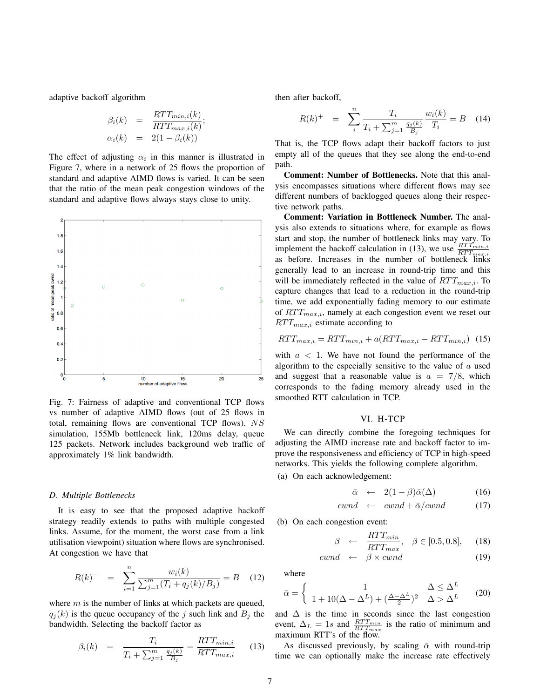adaptive backoff algorithm

$$
\beta_i(k) = \frac{RTT_{min,i}(k)}{RTT_{max,i}(k)};
$$
  
\n
$$
\alpha_i(k) = 2(1 - \beta_i(k))
$$

The effect of adjusting  $\alpha_i$  in this manner is illustrated in Figure 7, where in a network of 25 flows the proportion of standard and adaptive AIMD flows is varied. It can be seen that the ratio of the mean peak congestion windows of the standard and adaptive flows always stays close to unity.



Fig. 7: Fairness of adaptive and conventional TCP flows vs number of adaptive AIMD flows (out of 25 flows in total, remaining flows are conventional TCP flows). NS simulation, 155Mb bottleneck link, 120ms delay, queue 125 packets. Network includes background web traffic of approximately 1% link bandwidth.

#### *D. Multiple Bottlenecks*

It is easy to see that the proposed adaptive backoff strategy readily extends to paths with multiple congested links. Assume, for the moment, the worst case from a link utilisation viewpoint) situation where flows are synchronised. At congestion we have that

$$
R(k)^{-} = \sum_{i=1}^{n} \frac{w_i(k)}{\sum_{j=1}^{m} (T_i + q_j(k)/B_j)} = B \quad (12)
$$

where  $m$  is the number of links at which packets are queued,  $q_i(k)$  is the queue occupancy of the j such link and  $B_i$  the bandwidth. Selecting the backoff factor as

$$
\beta_i(k) = \frac{T_i}{T_i + \sum_{j=1}^m \frac{q_j(k)}{B_j}} = \frac{RTT_{min,i}}{RTT_{max,i}} \qquad (13)
$$

then after backoff,

$$
R(k)^{+} = \sum_{i}^{n} \frac{T_i}{T_i + \sum_{j=1}^{m} \frac{q_j(k)}{B_j}} \frac{w_i(k)}{T_i} = B \quad (14)
$$

That is, the TCP flows adapt their backoff factors to just empty all of the queues that they see along the end-to-end path.

Comment: Number of Bottlenecks. Note that this analysis encompasses situations where different flows may see different numbers of backlogged queues along their respective network paths.

Comment: Variation in Bottleneck Number. The analysis also extends to situations where, for example as flows start and stop, the number of bottleneck links may vary. To implement the backoff calculation in (13), we use  $\frac{RTT_{min,i}}{RTT_{max,i}}$ as before. Increases in the number of bottleneck links generally lead to an increase in round-trip time and this will be immediately reflected in the value of  $RTT_{max,i}$ . To capture changes that lead to a reduction in the round-trip time, we add exponentially fading memory to our estimate of  $RTT_{max,i}$ , namely at each congestion event we reset our  $RTT_{max,i}$  estimate according to

$$
RTT_{max,i} = RTT_{min,i} + a(RTT_{max,i} - RTT_{min,i}) \tag{15}
$$

with  $a < 1$ . We have not found the performance of the algorithm to the especially sensitive to the value of  $a$  used and suggest that a reasonable value is  $a = 7/8$ , which corresponds to the fading memory already used in the smoothed RTT calculation in TCP.

## VI. H-TCP

We can directly combine the foregoing techniques for adjusting the AIMD increase rate and backoff factor to improve the responsiveness and efficiency of TCP in high-speed networks. This yields the following complete algorithm. (a) On each acknowledgement:

$$
\bar{\alpha} \leftarrow 2(1-\beta)\bar{\alpha}(\Delta) \tag{16}
$$

$$
cwnd \leftarrow \ cwnd + \bar{\alpha}/cwnd \tag{17}
$$

(b) On each congestion event:

$$
\beta \quad \leftarrow \quad \frac{RTT_{min}}{RTT_{max}}, \quad \beta \in [0.5, 0.8], \quad (18)
$$

$$
cwnd \leftarrow \beta \times cwnd \tag{19}
$$

where

$$
\bar{\alpha} = \begin{cases}\n1 & \Delta \leq \Delta^L \\
1 + 10(\Delta - \Delta^L) + (\frac{\Delta - \Delta^L}{2})^2 & \Delta > \Delta^L\n\end{cases}
$$
\n(20)

and  $\Delta$  is the time in seconds since the last congestion event,  $\Delta_L = 1s$  and  $\frac{RTT_{min}}{RTT_{max}}$  is the ratio of minimum and maximum RTT's of the flow.

As discussed previously, by scaling  $\bar{\alpha}$  with round-trip time we can optionally make the increase rate effectively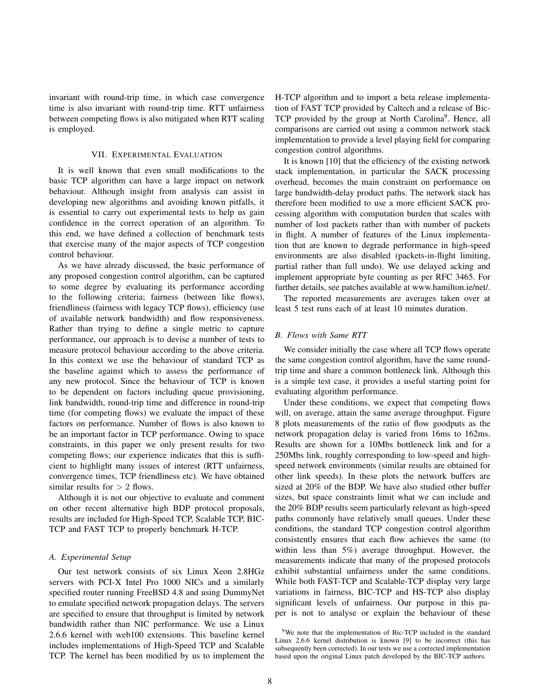invariant with round-trip time, in which case convergence time is also invariant with round-trip time. RTT unfairness between competing flows is also mitigated when RTT scaling is employed.

### VII. EXPERIMENTAL EVALUATION

It is well known that even small modifications to the basic TCP algorithm can have a large impact on network behaviour. Although insight from analysis can assist in developing new algorithms and avoiding known pitfalls, it is essential to carry out experimental tests to help us gain confidence in the correct operation of an algorithm. To this end, we have defined a collection of benchmark tests that exercise many of the major aspects of TCP congestion control behaviour.

As we have already discussed, the basic performance of any proposed congestion control algorithm, can be captured to some degree by evaluating its performance according to the following criteria; fairness (between like flows), friendliness (fairness with legacy TCP flows), efficiency (use of available network bandwidth) and flow responsiveness. Rather than trying to define a single metric to capture performance, our approach is to devise a number of tests to measure protocol behaviour according to the above criteria. In this context we use the behaviour of standard TCP as the baseline against which to assess the performance of any new protocol. Since the behaviour of TCP is known to be dependent on factors including queue provisioning, link bandwidth, round-trip time and difference in round-trip time (for competing flows) we evaluate the impact of these factors on performance. Number of flows is also known to be an important factor in TCP performance. Owing to space constraints, in this paper we only present results for two competing flows; our experience indicates that this is sufficient to highlight many issues of interest (RTT unfairness, convergence times, TCP friendliness etc). We have obtained similar results for  $> 2$  flows.

Although it is not our objective to evaluate and comment on other recent alternative high BDP protocol proposals, results are included for High-Speed TCP, Scalable TCP, BIC-TCP and FAST TCP to properly benchmark H-TCP.

# *A. Experimental Setup*

Our test network consists of six Linux Xeon 2.8HGz servers with PCI-X Intel Pro 1000 NICs and a similarly specified router running FreeBSD 4.8 and using DummyNet to emulate specified network propagation delays. The servers are specified to ensure that throughput is limited by network bandwidth rather than NIC performance. We use a Linux 2.6.6 kernel with web100 extensions. This baseline kernel includes implementations of High-Speed TCP and Scalable TCP. The kernel has been modified by us to implement the H-TCP algorithm and to import a beta release implementation of FAST TCP provided by Caltech and a release of Bic-TCP provided by the group at North Carolina<sup>9</sup>. Hence, all comparisons are carried out using a common network stack implementation to provide a level playing field for comparing congestion control algorithms.

It is known [10] that the efficiency of the existing network stack implementation, in particular the SACK processing overhead, becomes the main constraint on performance on large bandwidth-delay product paths. The network stack has therefore been modified to use a more efficient SACK processing algorithm with computation burden that scales with number of lost packets rather than with number of packets in flight. A number of features of the Linux implementation that are known to degrade performance in high-speed environments are also disabled (packets-in-flight limiting, partial rather than full undo). We use delayed acking and implement appropriate byte counting as per RFC 3465. For further details, see patches available at www.hamilton.ie/net/.

The reported measurements are averages taken over at least 5 test runs each of at least 10 minutes duration.

# *B. Flows with Same RTT*

We consider initially the case where all TCP flows operate the same congestion control algorithm, have the same roundtrip time and share a common bottleneck link. Although this is a simple test case, it provides a useful starting point for evaluating algorithm performance.

Under these conditions, we expect that competing flows will, on average, attain the same average throughput. Figure 8 plots measurements of the ratio of flow goodputs as the network propagation delay is varied from 16ms to 162ms. Results are shown for a 10Mbs bottleneck link and for a 250Mbs link, roughly corresponding to low-speed and highspeed network environments (similar results are obtained for other link speeds). In these plots the network buffers are sized at 20% of the BDP. We have also studied other buffer sizes, but space constraints limit what we can include and the 20% BDP results seem particularly relevant as high-speed paths commonly have relatively small queues. Under these conditions, the standard TCP congestion control algorithm consistently ensures that each flow achieves the same (to within less than 5%) average throughput. However, the measurements indicate that many of the proposed protocols exhibit substantial unfairness under the same conditions. While both FAST-TCP and Scalable-TCP display very large variations in fairness, BIC-TCP and HS-TCP also display significant levels of unfairness. Our purpose in this paper is not to analyse or explain the behaviour of these

<sup>&</sup>lt;sup>9</sup>We note that the implementation of Bic-TCP included in the standard Linux 2.6.6 kernel distribution is known [9] to be incorrect (this has subsequently been corrected). In our tests we use a corrected implementation based upon the original Linux patch developed by the BIC-TCP authors.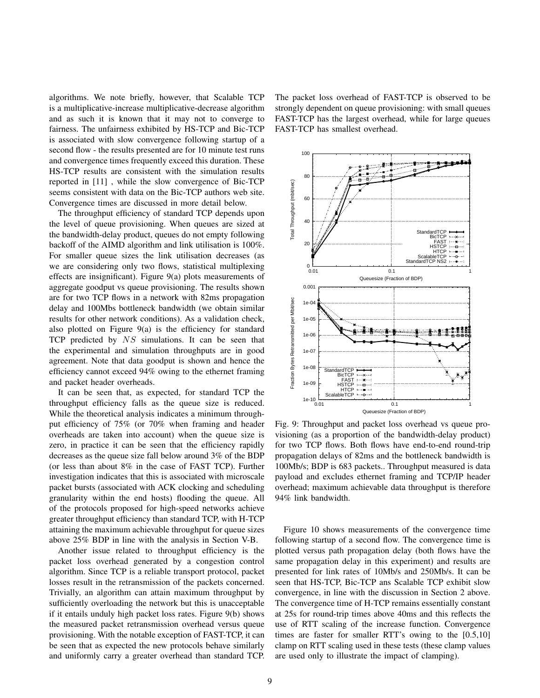algorithms. We note briefly, however, that Scalable TCP is a multiplicative-increase multiplicative-decrease algorithm and as such it is known that it may not to converge to fairness. The unfairness exhibited by HS-TCP and Bic-TCP is associated with slow convergence following startup of a second flow - the results presented are for 10 minute test runs and convergence times frequently exceed this duration. These HS-TCP results are consistent with the simulation results reported in [11] , while the slow convergence of Bic-TCP seems consistent with data on the Bic-TCP authors web site. Convergence times are discussed in more detail below.

The throughput efficiency of standard TCP depends upon the level of queue provisioning. When queues are sized at the bandwidth-delay product, queues do not empty following backoff of the AIMD algorithm and link utilisation is 100%. For smaller queue sizes the link utilisation decreases (as we are considering only two flows, statistical multiplexing effects are insignificant). Figure 9(a) plots measurements of aggregate goodput vs queue provisioning. The results shown are for two TCP flows in a network with 82ms propagation delay and 100Mbs bottleneck bandwidth (we obtain similar results for other network conditions). As a validation check, also plotted on Figure 9(a) is the efficiency for standard TCP predicted by  $NS$  simulations. It can be seen that the experimental and simulation throughputs are in good agreement. Note that data goodput is shown and hence the efficiency cannot exceed 94% owing to the ethernet framing and packet header overheads.

It can be seen that, as expected, for standard TCP the throughput efficiency falls as the queue size is reduced. While the theoretical analysis indicates a minimum throughput efficiency of 75% (or 70% when framing and header overheads are taken into account) when the queue size is zero, in practice it can be seen that the efficiency rapidly decreases as the queue size fall below around 3% of the BDP (or less than about 8% in the case of FAST TCP). Further investigation indicates that this is associated with microscale packet bursts (associated with ACK clocking and scheduling granularity within the end hosts) flooding the queue. All of the protocols proposed for high-speed networks achieve greater throughput efficiency than standard TCP, with H-TCP attaining the maximum achievable throughput for queue sizes above 25% BDP in line with the analysis in Section V-B.

Another issue related to throughput efficiency is the packet loss overhead generated by a congestion control algorithm. Since TCP is a reliable transport protocol, packet losses result in the retransmission of the packets concerned. Trivially, an algorithm can attain maximum throughput by sufficiently overloading the network but this is unacceptable if it entails unduly high packet loss rates. Figure 9(b) shows the measured packet retransmission overhead versus queue provisioning. With the notable exception of FAST-TCP, it can be seen that as expected the new protocols behave similarly and uniformly carry a greater overhead than standard TCP. The packet loss overhead of FAST-TCP is observed to be strongly dependent on queue provisioning: with small queues FAST-TCP has the largest overhead, while for large queues FAST-TCP has smallest overhead.



Fig. 9: Throughput and packet loss overhead vs queue provisioning (as a proportion of the bandwidth-delay product) for two TCP flows. Both flows have end-to-end round-trip propagation delays of 82ms and the bottleneck bandwidth is 100Mb/s; BDP is 683 packets.. Throughput measured is data payload and excludes ethernet framing and TCP/IP header overhead; maximum achievable data throughput is therefore 94% link bandwidth.

Figure 10 shows measurements of the convergence time following startup of a second flow. The convergence time is plotted versus path propagation delay (both flows have the same propagation delay in this experiment) and results are presented for link rates of 10Mb/s and 250Mb/s. It can be seen that HS-TCP, Bic-TCP ans Scalable TCP exhibit slow convergence, in line with the discussion in Section 2 above. The convergence time of H-TCP remains essentially constant at 25s for round-trip times above 40ms and this reflects the use of RTT scaling of the increase function. Convergence times are faster for smaller RTT's owing to the [0.5,10] clamp on RTT scaling used in these tests (these clamp values are used only to illustrate the impact of clamping).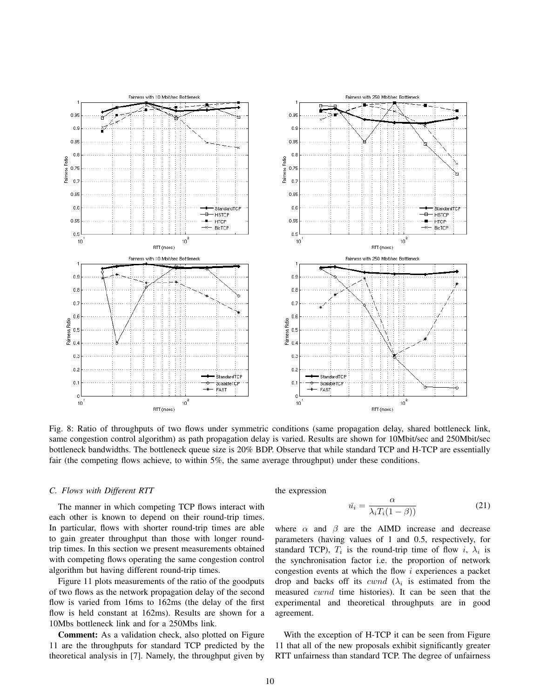

Fig. 8: Ratio of throughputs of two flows under symmetric conditions (same propagation delay, shared bottleneck link, same congestion control algorithm) as path propagation delay is varied. Results are shown for 10Mbit/sec and 250Mbit/sec bottleneck bandwidths. The bottleneck queue size is 20% BDP. Observe that while standard TCP and H-TCP are essentially fair (the competing flows achieve, to within 5%, the same average throughput) under these conditions.

## *C. Flows with Different RTT*

The manner in which competing TCP flows interact with each other is known to depend on their round-trip times. In particular, flows with shorter round-trip times are able to gain greater throughput than those with longer roundtrip times. In this section we present measurements obtained with competing flows operating the same congestion control algorithm but having different round-trip times.

Figure 11 plots measurements of the ratio of the goodputs of two flows as the network propagation delay of the second flow is varied from 16ms to 162ms (the delay of the first flow is held constant at 162ms). Results are shown for a 10Mbs bottleneck link and for a 250Mbs link.

Comment: As a validation check, also plotted on Figure 11 are the throughputs for standard TCP predicted by the theoretical analysis in [7]. Namely, the throughput given by

the expression

$$
\bar{u_i} = \frac{\alpha}{\lambda_i T_i (1 - \beta))}
$$
\n(21)

where  $\alpha$  and  $\beta$  are the AIMD increase and decrease parameters (having values of 1 and 0.5, respectively, for standard TCP),  $T_i$  is the round-trip time of flow i,  $\lambda_i$  is the synchronisation factor i.e. the proportion of network congestion events at which the flow  $i$  experiences a packet drop and backs off its *cwnd* ( $\lambda_i$  is estimated from the measured cwnd time histories). It can be seen that the experimental and theoretical throughputs are in good agreement.

With the exception of H-TCP it can be seen from Figure 11 that all of the new proposals exhibit significantly greater RTT unfairness than standard TCP. The degree of unfairness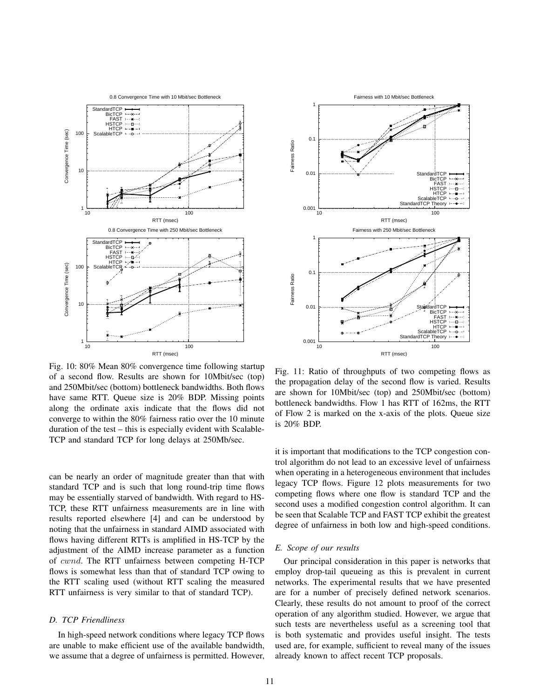

Fig. 10: 80% Mean 80% convergence time following startup of a second flow. Results are shown for 10Mbit/sec (top) and 250Mbit/sec (bottom) bottleneck bandwidths. Both flows have same RTT. Queue size is 20% BDP. Missing points along the ordinate axis indicate that the flows did not converge to within the 80% fairness ratio over the 10 minute duration of the test – this is especially evident with Scalable-TCP and standard TCP for long delays at 250Mb/sec.

can be nearly an order of magnitude greater than that with standard TCP and is such that long round-trip time flows may be essentially starved of bandwidth. With regard to HS-TCP, these RTT unfairness measurements are in line with results reported elsewhere [4] and can be understood by noting that the unfairness in standard AIMD associated with flows having different RTTs is amplified in HS-TCP by the adjustment of the AIMD increase parameter as a function of cwnd. The RTT unfairness between competing H-TCP flows is somewhat less than that of standard TCP owing to the RTT scaling used (without RTT scaling the measured RTT unfairness is very similar to that of standard TCP).

## *D. TCP Friendliness*

In high-speed network conditions where legacy TCP flows are unable to make efficient use of the available bandwidth, we assume that a degree of unfairness is permitted. However,



Fig. 11: Ratio of throughputs of two competing flows as the propagation delay of the second flow is varied. Results are shown for 10Mbit/sec (top) and 250Mbit/sec (bottom) bottleneck bandwidths. Flow 1 has RTT of 162ms, the RTT of Flow 2 is marked on the x-axis of the plots. Queue size is 20% BDP.

it is important that modifications to the TCP congestion control algorithm do not lead to an excessive level of unfairness when operating in a heterogeneous environment that includes legacy TCP flows. Figure 12 plots measurements for two competing flows where one flow is standard TCP and the second uses a modified congestion control algorithm. It can be seen that Scalable TCP and FAST TCP exhibit the greatest degree of unfairness in both low and high-speed conditions.

# *E. Scope of our results*

Our principal consideration in this paper is networks that employ drop-tail queueing as this is prevalent in current networks. The experimental results that we have presented are for a number of precisely defined network scenarios. Clearly, these results do not amount to proof of the correct operation of any algorithm studied. However, we argue that such tests are nevertheless useful as a screening tool that is both systematic and provides useful insight. The tests used are, for example, sufficient to reveal many of the issues already known to affect recent TCP proposals.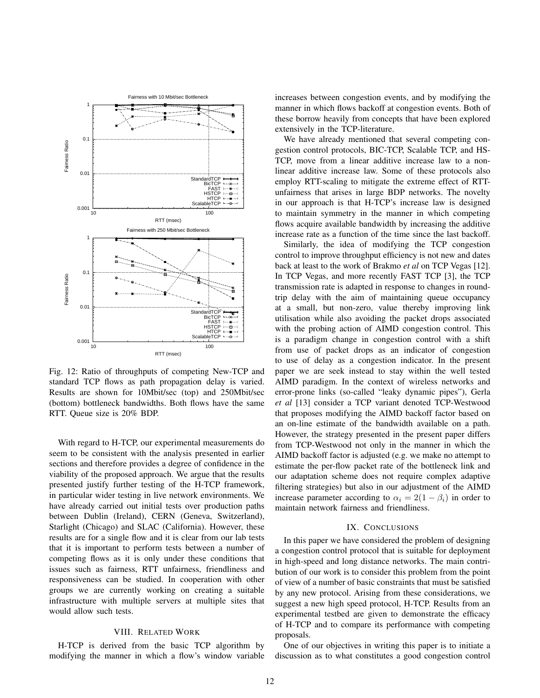

Fig. 12: Ratio of throughputs of competing New-TCP and standard TCP flows as path propagation delay is varied. Results are shown for 10Mbit/sec (top) and 250Mbit/sec (bottom) bottleneck bandwidths. Both flows have the same RTT. Queue size is 20% BDP.

With regard to H-TCP, our experimental measurements do seem to be consistent with the analysis presented in earlier sections and therefore provides a degree of confidence in the viability of the proposed approach. We argue that the results presented justify further testing of the H-TCP framework, in particular wider testing in live network environments. We have already carried out initial tests over production paths between Dublin (Ireland), CERN (Geneva, Switzerland), Starlight (Chicago) and SLAC (California). However, these results are for a single flow and it is clear from our lab tests that it is important to perform tests between a number of competing flows as it is only under these conditions that issues such as fairness, RTT unfairness, friendliness and responsiveness can be studied. In cooperation with other groups we are currently working on creating a suitable infrastructure with multiple servers at multiple sites that would allow such tests.

### VIII. RELATED WORK

H-TCP is derived from the basic TCP algorithm by modifying the manner in which a flow's window variable increases between congestion events, and by modifying the manner in which flows backoff at congestion events. Both of these borrow heavily from concepts that have been explored extensively in the TCP-literature.

We have already mentioned that several competing congestion control protocols, BIC-TCP, Scalable TCP, and HS-TCP, move from a linear additive increase law to a nonlinear additive increase law. Some of these protocols also employ RTT-scaling to mitigate the extreme effect of RTTunfairness that arises in large BDP networks. The novelty in our approach is that H-TCP's increase law is designed to maintain symmetry in the manner in which competing flows acquire available bandwidth by increasing the additive increase rate as a function of the time since the last backoff.

Similarly, the idea of modifying the TCP congestion control to improve throughput efficiency is not new and dates back at least to the work of Brakmo *et al* on TCP Vegas [12]. In TCP Vegas, and more recently FAST TCP [3], the TCP transmission rate is adapted in response to changes in roundtrip delay with the aim of maintaining queue occupancy at a small, but non-zero, value thereby improving link utilisation while also avoiding the packet drops associated with the probing action of AIMD congestion control. This is a paradigm change in congestion control with a shift from use of packet drops as an indicator of congestion to use of delay as a congestion indicator. In the present paper we are seek instead to stay within the well tested AIMD paradigm. In the context of wireless networks and error-prone links (so-called "leaky dynamic pipes"), Gerla *et al* [13] consider a TCP variant denoted TCP-Westwood that proposes modifying the AIMD backoff factor based on an on-line estimate of the bandwidth available on a path. However, the strategy presented in the present paper differs from TCP-Westwood not only in the manner in which the AIMD backoff factor is adjusted (e.g. we make no attempt to estimate the per-flow packet rate of the bottleneck link and our adaptation scheme does not require complex adaptive filtering strategies) but also in our adjustment of the AIMD increase parameter according to  $\alpha_i = 2(1 - \beta_i)$  in order to maintain network fairness and friendliness.

## IX. CONCLUSIONS

In this paper we have considered the problem of designing a congestion control protocol that is suitable for deployment in high-speed and long distance networks. The main contribution of our work is to consider this problem from the point of view of a number of basic constraints that must be satisfied by any new protocol. Arising from these considerations, we suggest a new high speed protocol, H-TCP. Results from an experimental testbed are given to demonstrate the efficacy of H-TCP and to compare its performance with competing proposals.

One of our objectives in writing this paper is to initiate a discussion as to what constitutes a good congestion control